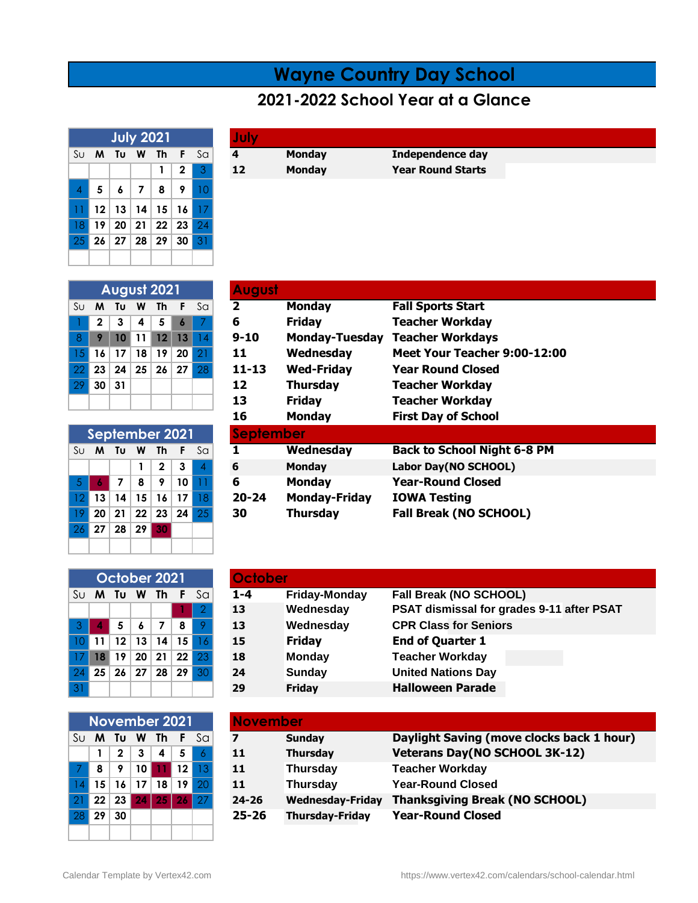## **Wayne Country Day School**

## **2021-2022 School Year at a Glance**

|                 | <b>July 2021</b> |   |           |                               |                         |     |  |  |  |  |  |  |
|-----------------|------------------|---|-----------|-------------------------------|-------------------------|-----|--|--|--|--|--|--|
| SU              |                  |   |           | M Tu W Th F                   |                         | Sa  |  |  |  |  |  |  |
|                 |                  |   |           | $\mathbf{1}$                  | $\overline{\mathbf{2}}$ | - 3 |  |  |  |  |  |  |
| $\overline{4}$  | 5                | 6 | $\vert$ 7 | 8                             | 9                       | 10  |  |  |  |  |  |  |
| 11 <sup>2</sup> |                  |   |           | $12$   13   14   15   16   17 |                         |     |  |  |  |  |  |  |
| 18              |                  |   |           | 19 20 21 22 23 24             |                         |     |  |  |  |  |  |  |
| 25              |                  |   |           | $26$   27   28   29   30   31 |                         |     |  |  |  |  |  |  |
|                 |                  |   |           |                               |                         |     |  |  |  |  |  |  |

**July**

Su **M Tu W Th F** Sa **4 Monday Independence day 2** 3 **12 Monday Year Round Starts**

|                 | August 2021 |                                 |  |  |  |    |  |  |  |  |  |  |
|-----------------|-------------|---------------------------------|--|--|--|----|--|--|--|--|--|--|
| $S_{U}$         |             | M Tu W Th F                     |  |  |  | Sa |  |  |  |  |  |  |
|                 |             | $2 \mid 3 \mid 4 \mid 5 \mid 6$ |  |  |  |    |  |  |  |  |  |  |
| 8 <sub>1</sub>  |             | 9 10 11 12 13 14                |  |  |  |    |  |  |  |  |  |  |
| 15 <sup>1</sup> |             | 16 17 18 19 20 21               |  |  |  |    |  |  |  |  |  |  |
|                 |             | $22$ 23 24 25 26 27 28          |  |  |  |    |  |  |  |  |  |  |
|                 | $29$ 30 31  |                                 |  |  |  |    |  |  |  |  |  |  |
|                 |             |                                 |  |  |  |    |  |  |  |  |  |  |

|                 | September 2021   |  |  |             |                             |                |  |  |  |  |  |
|-----------------|------------------|--|--|-------------|-----------------------------|----------------|--|--|--|--|--|
| $S_{U}$         |                  |  |  | M Tu W Th F |                             | - Sa           |  |  |  |  |  |
|                 |                  |  |  |             | $1 \mid 2 \mid 3 \mid$      | $\blacksquare$ |  |  |  |  |  |
| 5 <sup>1</sup>  | -61              |  |  |             | 7 8 9 10 1                  |                |  |  |  |  |  |
|                 |                  |  |  |             | $12$ 13 14 15 16 17 18      |                |  |  |  |  |  |
| 19 <sup>°</sup> |                  |  |  |             | 20   21   22   23   24   25 |                |  |  |  |  |  |
|                 | $26$ 27 28 29 30 |  |  |             |                             |                |  |  |  |  |  |
|                 |                  |  |  |             |                             |                |  |  |  |  |  |

|                |              |    |    | August 2021    |                 |    | <b>August</b>    |                       |                                    |
|----------------|--------------|----|----|----------------|-----------------|----|------------------|-----------------------|------------------------------------|
| Sul            | M            | Τu | W  | Th             |                 | Sa | $\mathbf{2}$     | <b>Monday</b>         | <b>Fall Sports Start</b>           |
|                | $\mathbf{2}$ | 3  | 4  | 5              |                 |    | 6                | <b>Friday</b>         | <b>Teacher Workday</b>             |
| 8              | 9            | 10 | 11 | 12             | 13              | 14 | $9 - 10$         | <b>Monday-Tuesday</b> | <b>Teacher Workdays</b>            |
| 15             | 16           | 17 | 18 | 19             | 20 <sup>1</sup> | 21 | 11               | Wednesday             | Meet Your Teacher 9:00-12:00       |
| 22             | 23           | 24 | 25 | 26             | 27              | 28 | $11 - 13$        | <b>Wed-Friday</b>     | <b>Year Round Closed</b>           |
| 29.            | 30           | 31 |    |                |                 |    | 12               | <b>Thursday</b>       | <b>Teacher Workday</b>             |
|                |              |    |    |                |                 |    | 13               | <b>Friday</b>         | <b>Teacher Workday</b>             |
|                |              |    |    |                |                 |    | 16               | <b>Monday</b>         | <b>First Day of School</b>         |
|                |              |    |    | September 2021 |                 |    | <b>September</b> |                       |                                    |
| Sul            | M            | Τu | W  | Th             |                 | Sa |                  | Wednesday             | <b>Back to School Night 6-8 PM</b> |
|                |              |    |    | $\mathbf{2}$   | 3               | 4  | 6                | <b>Monday</b>         | Labor Day(NO SCHOOL)               |
| 5 <sup>1</sup> | ь            | 7  | 8  | 9              | 10 <sup>1</sup> | 11 | 6                | <b>Monday</b>         | <b>Year-Round Closed</b>           |
|                | 13           | 14 | 15 | 16             | 17              | 18 | $20 - 24$        | <b>Monday-Friday</b>  | <b>IOWA Testing</b>                |
| 19             | 20           | 21 | 22 | 23             | 24              | 25 | 30               | <b>Thursday</b>       | <b>Fall Break (NO SCHOOL)</b>      |

|         | October 2021   |                                              |      |  |   |                |  |  |  |  |  |  |
|---------|----------------|----------------------------------------------|------|--|---|----------------|--|--|--|--|--|--|
| $S_{U}$ |                | M Tu W Th F Sa                               |      |  |   |                |  |  |  |  |  |  |
|         |                |                                              |      |  |   | $\overline{2}$ |  |  |  |  |  |  |
| $3 -$   | Δ              |                                              | 5617 |  | 8 | $\bullet$      |  |  |  |  |  |  |
| 10.     |                | $11 \mid 12 \mid 13 \mid 14 \mid 15 \mid 16$ |      |  |   |                |  |  |  |  |  |  |
|         |                | 18 19 20 21 22 23                            |      |  |   |                |  |  |  |  |  |  |
| 24      | 25 26 27 28 29 |                                              |      |  |   |                |  |  |  |  |  |  |
| 31      |                |                                              |      |  |   |                |  |  |  |  |  |  |

|     | November 2021 |  |             |                           |                |     |  |  |  |  |  |  |
|-----|---------------|--|-------------|---------------------------|----------------|-----|--|--|--|--|--|--|
| Su  |               |  | M Tu W Th F |                           | $S_{\Omega}$   |     |  |  |  |  |  |  |
|     | 1             |  | $2 \mid 3$  | l 4                       | $\overline{5}$ | - 6 |  |  |  |  |  |  |
|     | 8             |  |             | 9 10 11 12 13             |                |     |  |  |  |  |  |  |
| 14. |               |  |             | $15$   $16$   $17$   $18$ | 19             | -20 |  |  |  |  |  |  |
| 21. |               |  |             | 22 23 24 25 26 27         |                |     |  |  |  |  |  |  |
| 28  | $29$ 30       |  |             |                           |                |     |  |  |  |  |  |  |
|     |               |  |             |                           |                |     |  |  |  |  |  |  |

| October 2021    |    |      |                 |                 |                 |              | <b>October</b> |                                                        |                           |  |  |  |  |
|-----------------|----|------|-----------------|-----------------|-----------------|--------------|----------------|--------------------------------------------------------|---------------------------|--|--|--|--|
| Sulli           | M  | - Tu | W               | Th F Sa         |                 |              | $1 - 4$        | <b>Friday-Monday</b><br>Fall Break (NO SCHOOL)         |                           |  |  |  |  |
|                 |    |      |                 |                 |                 |              | 13             | Wednesday<br>PSAT dismissal for grades 9-11 after PSAT |                           |  |  |  |  |
|                 |    | 5.   | 6               |                 | 8               | -9.          | 13             | <b>CPR Class for Seniors</b><br>Wednesday              |                           |  |  |  |  |
|                 | 11 | 12   | 13              | 14              | 15 <sub>1</sub> | -16          | 15             | <b>Friday</b>                                          | <b>End of Quarter 1</b>   |  |  |  |  |
|                 | 18 | 19   | 20 <sub>1</sub> | 21              |                 | $22 \mid 23$ | 18             | <b>Monday</b>                                          | <b>Teacher Workday</b>    |  |  |  |  |
| 24 <sup>1</sup> | 25 | 26   | 27              | 28 <sup>1</sup> | 29 30           |              | 24             | <b>Sunday</b>                                          | <b>United Nations Day</b> |  |  |  |  |
| 31.             |    |      |                 |                 |                 |              | 29             | <b>Friday</b>                                          | <b>Halloween Parade</b>   |  |  |  |  |

| November 2021 |         |                |      |             |    |                       | <b>November</b> |                         |                                           |  |  |
|---------------|---------|----------------|------|-------------|----|-----------------------|-----------------|-------------------------|-------------------------------------------|--|--|
| Sul           | M       | - Tu           | W    | $\nabla$ Th |    | .Sa                   | 7               | <b>Sunday</b>           | Daylight Saving (move clocks back 1 hour) |  |  |
|               |         | $\overline{2}$ | -3   | 4           | 5  |                       | 11              | <b>Thursday</b>         | <b>Veterans Day(NO SCHOOL 3K-12)</b>      |  |  |
|               | 8       | 9              | 10 I |             |    | $\vert$ 12 $\vert$ 13 | 11              | <b>Thursday</b>         | <b>Teacher Workday</b>                    |  |  |
|               | 15      | 16             | 17   | 18          |    | $19 \mid 20$          | 11              | Thursday                | <b>Year-Round Closed</b>                  |  |  |
| 21            | $22 \,$ | $23 \mid$      |      | 25          | 26 | 27                    | $24 - 26$       | <b>Wednesday-Friday</b> | <b>Thanksgiving Break (NO SCHOOL)</b>     |  |  |
| 28            | 29      | 30             |      |             |    |                       | $25 - 26$       | <b>Thursday-Friday</b>  | <b>Year-Round Closed</b>                  |  |  |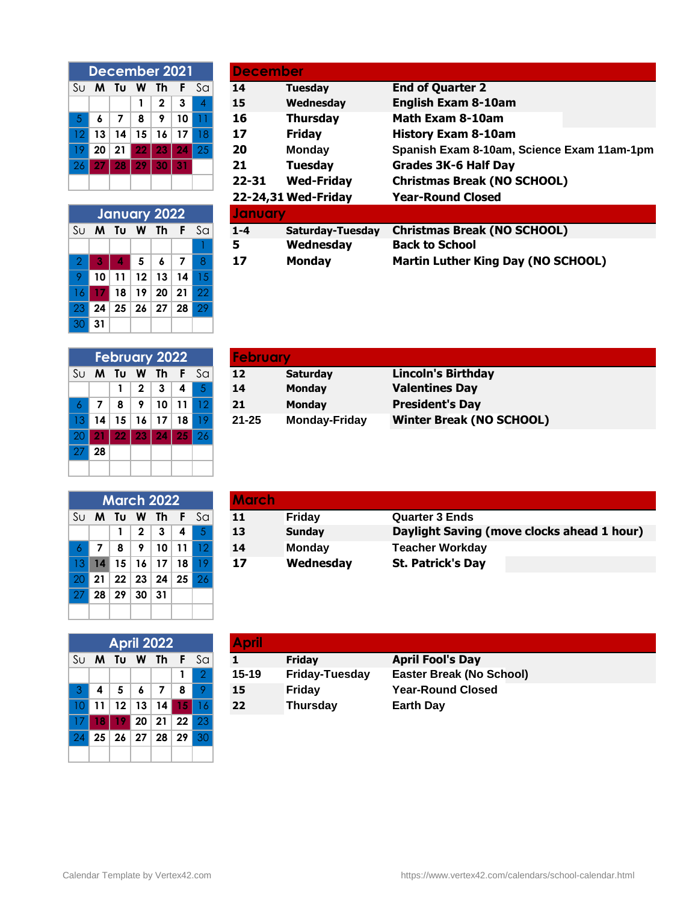| December 2021 |   |    |              |                                        |     |    |  |  |  |  |  |
|---------------|---|----|--------------|----------------------------------------|-----|----|--|--|--|--|--|
| $\rm S\sigma$ |   |    |              | M Tu W Th F                            |     | Sa |  |  |  |  |  |
|               |   |    | $\mathbf{1}$ | $\overline{2}$                         | ∣3  |    |  |  |  |  |  |
| 5.            | 6 | 78 |              | - 9                                    | -10 |    |  |  |  |  |  |
|               |   |    |              | $\overline{12}$ 13   14   15   16   17 |     | 18 |  |  |  |  |  |
| 19.           |   |    |              | $20 \mid 21 \mid 22 \mid 23 \mid 24$   |     | 25 |  |  |  |  |  |
| 26            |   |    |              | $27$ 28 29 30                          | -31 |    |  |  |  |  |  |
|               |   |    |              |                                        |     |    |  |  |  |  |  |

|     | January 2022 |    |   |                                      |  |                  |  |  |  |  |  |  |
|-----|--------------|----|---|--------------------------------------|--|------------------|--|--|--|--|--|--|
| Su  |              |    |   | <b>M</b> Tu W Th F Sa                |  |                  |  |  |  |  |  |  |
|     |              |    |   |                                      |  |                  |  |  |  |  |  |  |
| 2   | Q            | 4. | 5 | 67                                   |  | 8                |  |  |  |  |  |  |
| 9.  | 10           |    |   | $11 \mid 12 \mid 13 \mid 14 \mid 15$ |  |                  |  |  |  |  |  |  |
| 16  |              |    |   | $17$ 18 19 20 21                     |  | $\vert 22 \vert$ |  |  |  |  |  |  |
| 23. |              |    |   | 24 25 26 27 28 29                    |  |                  |  |  |  |  |  |  |
| 30  | 31           |    |   |                                      |  |                  |  |  |  |  |  |  |

|                |    |    |    | December 2021 |    |    |           | <b>December</b>         |                                            |  |  |  |  |
|----------------|----|----|----|---------------|----|----|-----------|-------------------------|--------------------------------------------|--|--|--|--|
| Sul            | M  | Tu | W  | Th.           | F. | Sa | 14        | <b>Tuesday</b>          | <b>End of Quarter 2</b>                    |  |  |  |  |
|                |    |    |    | $\mathbf{2}$  | 3  | 4  | 15        | Wednesday               | <b>English Exam 8-10am</b>                 |  |  |  |  |
| $\overline{5}$ | 6  | 7  | 8  | 9             | 10 |    | 16        | <b>Thursday</b>         | <b>Math Exam 8-10am</b>                    |  |  |  |  |
| 12             | 13 | 14 | 15 | 16            | 17 | 18 | 17        | <b>Friday</b>           | <b>History Exam 8-10am</b>                 |  |  |  |  |
| 19             | 20 | 21 | 22 | 23            | 24 | 25 | 20        | <b>Monday</b>           | Spanish Exam 8-10am, Science Exam 11am-1pm |  |  |  |  |
| 26             | 27 | 28 | 29 | 30            | 31 |    | 21        | <b>Tuesday</b>          | <b>Grades 3K-6 Half Day</b>                |  |  |  |  |
|                |    |    |    |               |    |    | $22 - 31$ | <b>Wed-Friday</b>       | <b>Christmas Break (NO SCHOOL)</b>         |  |  |  |  |
|                |    |    |    |               |    |    |           | 22-24,31 Wed-Friday     | <b>Year-Round Closed</b>                   |  |  |  |  |
|                |    |    |    | January 2022  |    |    |           | January                 |                                            |  |  |  |  |
| Sul            | м  | Tu | W  | <b>Th</b>     |    | Sa | $1 - 4$   | <b>Saturday-Tuesday</b> | <b>Christmas Break (NO SCHOOL)</b>         |  |  |  |  |
|                |    |    |    |               |    |    | 5         | Wednesday               | <b>Back to School</b>                      |  |  |  |  |
| $\overline{2}$ | 3  |    | 5  | 6             |    | 8  | 17        | <b>Monday</b>           | Martin Luther King Day (NO SCHOOL)         |  |  |  |  |

|     | <b>February 2022</b>                                  |                 |                |                         |    |    |  |  |  |  |  |  |
|-----|-------------------------------------------------------|-----------------|----------------|-------------------------|----|----|--|--|--|--|--|--|
| Su  | <b>Th</b><br>-F<br>S <sub>G</sub><br>M Tu<br><b>W</b> |                 |                |                         |    |    |  |  |  |  |  |  |
|     |                                                       | 1               | $\overline{2}$ | $\overline{\mathbf{3}}$ | 4  | 5. |  |  |  |  |  |  |
| 6   | $\overline{\mathbf{z}}$                               | 8               | 9              | 10                      | 11 | 12 |  |  |  |  |  |  |
| 13. | 14                                                    | 15              | 16             | 17                      | 18 | 19 |  |  |  |  |  |  |
| 20  | 21                                                    | 22 <sub>2</sub> |                | $23 \mid 24 \mid 25$    |    | 26 |  |  |  |  |  |  |
| 27  | 28                                                    |                 |                |                         |    |    |  |  |  |  |  |  |
|     |                                                       |                 |                |                         |    |    |  |  |  |  |  |  |

|    |                |                  | February 2022 |              |          |           | <b>February</b>      |                                 |  |  |  |  |
|----|----------------|------------------|---------------|--------------|----------|-----------|----------------------|---------------------------------|--|--|--|--|
|    | Su <b>M Tu</b> | <b>W</b>         | Th F          |              | - Sal    | 12        | <b>Saturday</b>      | <b>Lincoln's Birthday</b>       |  |  |  |  |
|    |                |                  | 3             | $\mathbf{A}$ |          | 14        | <b>Monday</b>        | <b>Valentines Day</b>           |  |  |  |  |
|    | 8              | $\boldsymbol{Q}$ |               |              | 10 11 12 | 21        | <b>Monday</b>        | <b>President's Day</b>          |  |  |  |  |
| 14 | 15             | 16 <sup>1</sup>  | 17            |              | $18$ 19  | $21 - 25$ | <b>Monday-Friday</b> | <b>Winter Break (NO SCHOOL)</b> |  |  |  |  |
|    |                |                  |               |              |          |           |                      |                                 |  |  |  |  |

|                 | <b>March 2022</b> |   |                   |                               |    |           |  |  |  |  |
|-----------------|-------------------|---|-------------------|-------------------------------|----|-----------|--|--|--|--|
| Su              |                   |   |                   | M Tu W Th F Sa                |    |           |  |  |  |  |
|                 |                   |   | $1 \mid 2 \mid 3$ |                               | -4 | $\vert$ 5 |  |  |  |  |
| 6               | $\overline{7}$    | 8 |                   | 9   10   11 <mark> </mark> 12 |    |           |  |  |  |  |
| 13 <sub>1</sub> |                   |   |                   | $14$ 15 16 17 18              |    | -19       |  |  |  |  |
| 20 <sup>°</sup> | 21 22 23 24 25 26 |   |                   |                               |    |           |  |  |  |  |
| 27.             | 28   29   30   31 |   |                   |                               |    |           |  |  |  |  |
|                 |                   |   |                   |                               |    |           |  |  |  |  |

|  |            |                | <b>March 2022</b> |            |                        | <b>March</b> |               |                                            |
|--|------------|----------------|-------------------|------------|------------------------|--------------|---------------|--------------------------------------------|
|  |            |                |                   |            | Su $M$ Tu $W$ Th F Sal | 11           | Friday        | <b>Quarter 3 Ends</b>                      |
|  |            | 2 <sup>1</sup> | $\mathbf{3}$      | 4 <b>7</b> |                        |              | <b>Sunday</b> | Daylight Saving (move clocks ahead 1 hour) |
|  | -8         | 9              |                   |            | 10 11 12               | 14           | <b>Monday</b> | <b>Teacher Workday</b>                     |
|  | $14$ 15 16 |                |                   |            | 17 18 19               |              | Wednesday     | <b>St. Patrick's Day</b>                   |

|    | April 2022     | <b>April</b>   |                                      |   |                                                        |                |           |
|----|----------------|----------------|--------------------------------------|---|--------------------------------------------------------|----------------|-----------|
| Su | Tu W Th F<br>M | 1              |                                      |   |                                                        |                |           |
|    |                |                |                                      |   |                                                        | $\overline{2}$ | $15 - 19$ |
| 3  | 4              | 5 <sup>1</sup> | 6 <sup>1</sup>                       | 7 | 8                                                      | 9              | 15        |
| 10 |                |                |                                      |   | $11$   12   13   14   15                               | 16             | 22        |
| 17 | 18.            |                |                                      |   | $\vert$ 19 $\vert$ 20 $\vert$ 21 $\vert$ 22 $\vert$ 23 |                |           |
| 24 |                |                | $25 \mid 26 \mid 27 \mid 28 \mid 29$ |   |                                                        | 30             |           |
|    |                |                |                                      |   |                                                        |                |           |

|      | <b>April 2022</b> |                 |                 |     |       | April     |                       |                                 |
|------|-------------------|-----------------|-----------------|-----|-------|-----------|-----------------------|---------------------------------|
| Su M | Tu                | W               | - Th            |     | - Sal |           | <b>Friday</b>         | <b>April Fool's Day</b>         |
|      |                   |                 |                 |     |       | $15 - 19$ | <b>Friday-Tuesday</b> | <b>Easter Break (No School)</b> |
|      |                   |                 |                 | 8 I |       | 15        | <b>Friday</b>         | <b>Year-Round Closed</b>        |
|      | $12 \,$           | 13 <sup>1</sup> | 14 <sup>1</sup> |     |       | 22        | <b>Thursday</b>       | <b>Earth Day</b>                |
|      |                   |                 |                 |     |       |           |                       |                                 |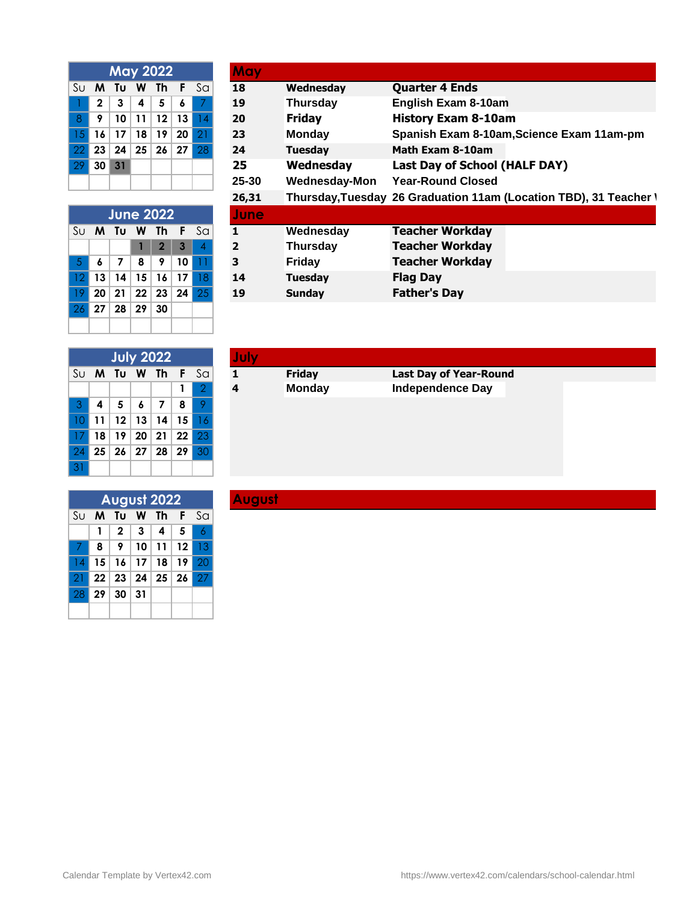| <b>May 2022</b> |          |                               |  |  |                |  |  |  |  |  |
|-----------------|----------|-------------------------------|--|--|----------------|--|--|--|--|--|
| S <sub>U</sub>  |          | M Tu W Th F Sa                |  |  |                |  |  |  |  |  |
|                 |          | $2 \mid 3 \mid 4 \mid 5$      |  |  | $\overline{6}$ |  |  |  |  |  |
| 8               |          | 9   10   11   12   13   14    |  |  |                |  |  |  |  |  |
| 15 <sup>1</sup> |          | $16$   17   18   19   20   21 |  |  |                |  |  |  |  |  |
|                 |          | $22$ 23 24 25 26 27 28        |  |  |                |  |  |  |  |  |
|                 | 29 30 31 |                               |  |  |                |  |  |  |  |  |
|                 |          |                               |  |  |                |  |  |  |  |  |

|                 |             |  | June 2022                                    |                |
|-----------------|-------------|--|----------------------------------------------|----------------|
| $\rm S\sigma$   |             |  | M Tu W Th F Sa                               |                |
|                 |             |  | $2 \mid 3 \mid$                              | $\blacksquare$ |
| 5.              | 6           |  | 7 8 9 10                                     |                |
| 12 <sup>1</sup> |             |  | $13 \mid 14 \mid 15 \mid 16 \mid 17 \mid 18$ |                |
| 19.             |             |  | 20   21   22   23   24   25                  |                |
| 26.             | 27 28 29 30 |  |                                              |                |
|                 |             |  |                                              |                |

|                 |                 |                |                  | <b>May 2022</b>  |                 |    | <b>May</b>   |                      |                                                                   |
|-----------------|-----------------|----------------|------------------|------------------|-----------------|----|--------------|----------------------|-------------------------------------------------------------------|
|                 | Su M            | Tu             | W                | Th.              |                 | Sa | 18           | Wednesday            | <b>Quarter 4 Ends</b>                                             |
|                 | 2               | 3              | 4                | 5                |                 |    | 19           | <b>Thursday</b>      | English Exam 8-10am                                               |
| 8               | 9               | 10             | 11               | 12 <sup>°</sup>  | 13              | 14 | 20           | <b>Friday</b>        | <b>History Exam 8-10am</b>                                        |
| 15              | 16              | 17             | 18               | 19               | 20 <sup>1</sup> | 21 | 23           | <b>Monday</b>        | Spanish Exam 8-10am, Science Exam 11am-pm                         |
| 22              | 23              | 24             | 25               | 26               | 27              | 28 | 24           | <b>Tuesday</b>       | Math Exam 8-10am                                                  |
| 29              | 30 <sup>1</sup> | 31             |                  |                  |                 |    | 25           | Wednesday            | Last Day of School (HALF DAY)                                     |
|                 |                 |                |                  |                  |                 |    | $25 - 30$    | <b>Wednesday-Mon</b> | <b>Year-Round Closed</b>                                          |
|                 |                 |                |                  |                  |                 |    | 26,31        |                      | Thursday, Tuesday 26 Graduation 11am (Location TBD), 31 Teacher \ |
|                 |                 |                |                  | <b>June 2022</b> |                 |    | June         |                      |                                                                   |
|                 |                 | Su <b>M Tu</b> | W                | ın               |                 | Sa |              | Wednesday            | <b>Teacher Workday</b>                                            |
|                 |                 |                |                  | $\overline{2}$   | $\mathbf{3}$    | 4  | $\mathbf{2}$ | <b>Thursday</b>      | <b>Teacher Workday</b>                                            |
| 5 <sup>1</sup>  | 6               | 7              | 8                | 9                | 10              |    | 3            | Friday               | <b>Teacher Workday</b>                                            |
| $\overline{12}$ | 13              | 14             | 15               | 16               | 17              | 18 | 14           | <b>Tuesday</b>       | <b>Flag Day</b>                                                   |
| 19              | 20              | 21             | $22\phantom{.0}$ | 23               | 24 <sub>1</sub> | 25 | 19           | <b>Sunday</b>        | <b>Father's Day</b>                                               |
| $\Omega$        | <b>07</b>       | റാ             | ററ               | $20^{\circ}$     |                 |    |              |                      |                                                                   |

|     | <b>July 2022</b> |   |                                              |  |   |                 |  |  |  |  |
|-----|------------------|---|----------------------------------------------|--|---|-----------------|--|--|--|--|
| Su  | M                |   | Tu W Th F                                    |  |   | Sa              |  |  |  |  |
|     |                  |   |                                              |  | 1 | $\overline{2}$  |  |  |  |  |
| 3   | 4                | 5 | 67                                           |  | 8 | 9               |  |  |  |  |
| 10  | 11 <sup>1</sup>  |   | $12$   13   14   15                          |  |   | $\overline{16}$ |  |  |  |  |
| 17. | 18               |   | $19$   20   21   22   23                     |  |   |                 |  |  |  |  |
| 24  |                  |   | $25 \mid 26 \mid 27 \mid 28 \mid 29 \mid 30$ |  |   |                 |  |  |  |  |
| 31  |                  |   |                                              |  |   |                 |  |  |  |  |

| <b>July 2022</b> |           |                 |    |       |                 |      |   |               |                               |  |
|------------------|-----------|-----------------|----|-------|-----------------|------|---|---------------|-------------------------------|--|
| Su               | M         | Tu              | W  | - Th  |                 | - Sa |   | <b>Friday</b> | <b>Last Day of Year-Round</b> |  |
|                  |           |                 |    |       |                 |      | 4 | <b>Monday</b> | <b>Independence Day</b>       |  |
|                  |           | 5               |    |       | 8               |      |   |               |                               |  |
|                  |           | 12              | 13 | 14    | 15 <sub>1</sub> | -16  |   |               |                               |  |
|                  | <b>10</b> | 10 <sup>1</sup> |    | 20121 | $\sim$          | ററ   |   |               |                               |  |

|                 | August 2022  |                    |                   |                                              |            |  |  |  |  |
|-----------------|--------------|--------------------|-------------------|----------------------------------------------|------------|--|--|--|--|
| Su              |              |                    |                   | M Tu W Th F Sa                               |            |  |  |  |  |
|                 | $\mathbf{1}$ |                    | $2 \mid 3 \mid 4$ |                                              | $5 \mid 6$ |  |  |  |  |
|                 | 8            |                    |                   | 9 10 11 12 13                                |            |  |  |  |  |
|                 |              |                    |                   | 14 15 16 17 18 19 20                         |            |  |  |  |  |
| 21 <sub>1</sub> |              |                    |                   | $22 \mid 23 \mid 24 \mid 25 \mid 26 \mid 27$ |            |  |  |  |  |
| 28 <sup>1</sup> |              | $\boxed{29}$ 30 31 |                   |                                              |            |  |  |  |  |
|                 |              |                    |                   |                                              |            |  |  |  |  |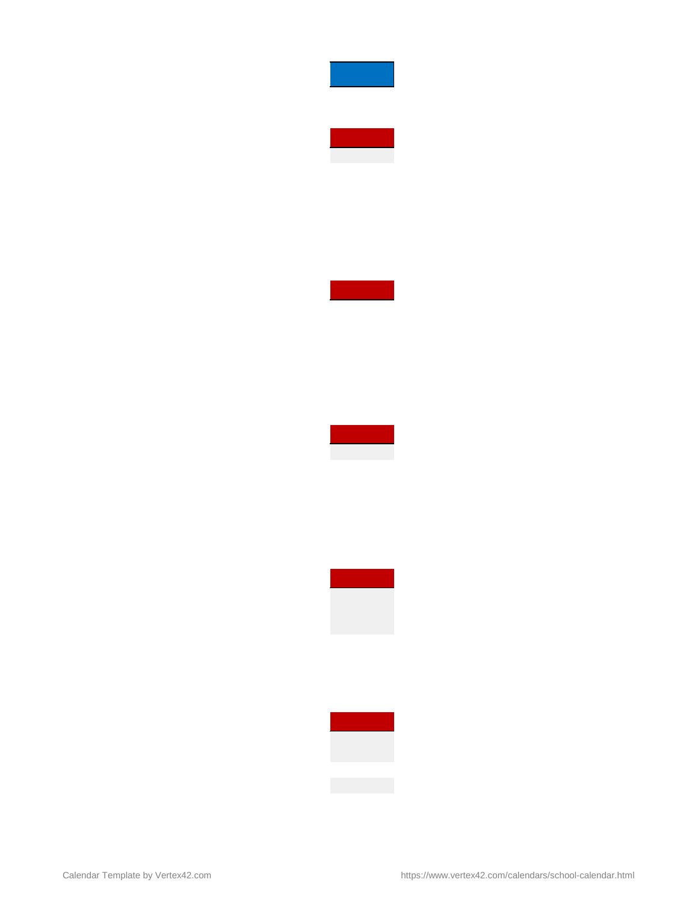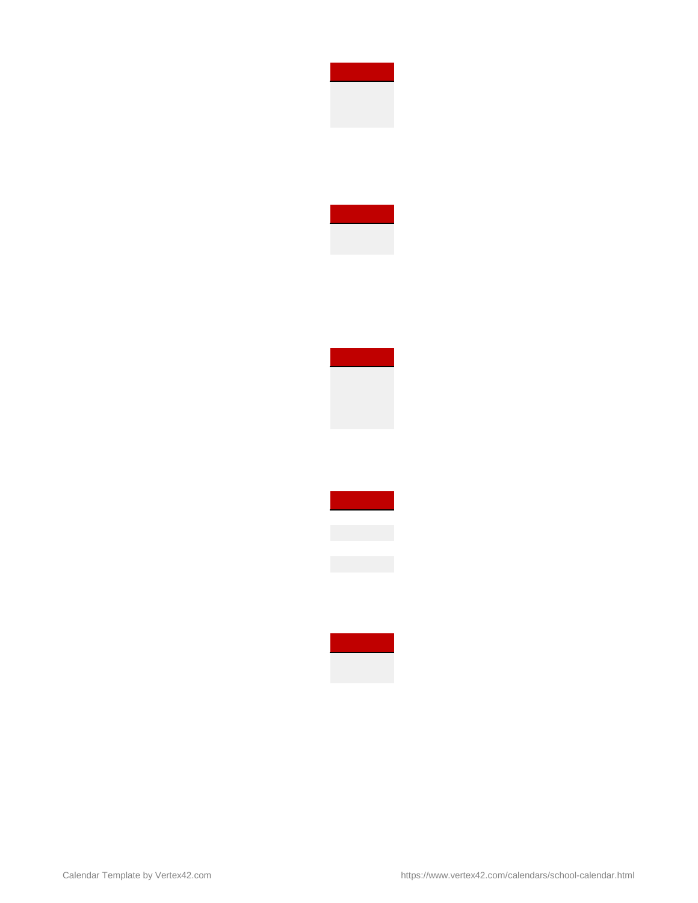